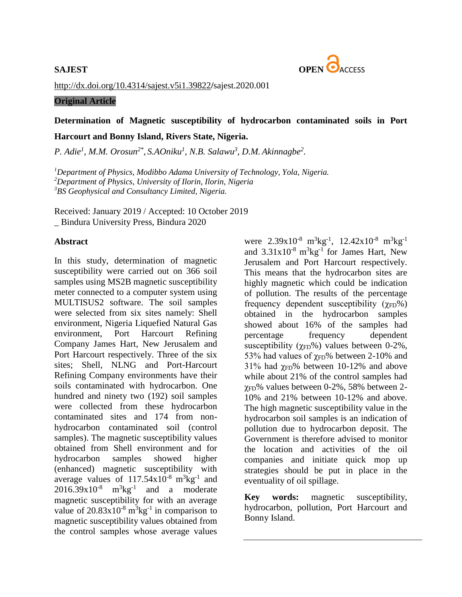

<http://dx.doi.org/10.4314/sajest.v5i1.39822>**/**sajest.2020.001

## **Original Article**

# **Determination of Magnetic susceptibility of hydrocarbon contaminated soils in Port Harcourt and Bonny Island, Rivers State, Nigeria.**

*P. Adie<sup>1</sup> , M.M. Orosun2\* , S.AOniku<sup>1</sup> , N.B. Salawu<sup>3</sup> , D.M. Akinnagbe<sup>2</sup> .*

*<sup>1</sup>Department of Physics, Modibbo Adama University of Technology, Yola, Nigeria. <sup>2</sup>Department of Physics, University of Ilorin, Ilorin, Nigeria <sup>3</sup>BS Geophysical and Consultancy Limited, Nigeria.*

Received: January 2019 / Accepted: 10 October 2019 \_ Bindura University Press, Bindura 2020

## **Abstract**

In this study, determination of magnetic susceptibility were carried out on 366 soil samples using MS2B magnetic susceptibility meter connected to a computer system using MULTISUS2 software. The soil samples were selected from six sites namely: Shell environment, Nigeria Liquefied Natural Gas environment, Port Harcourt Refining Company James Hart, New Jerusalem and Port Harcourt respectively. Three of the six sites; Shell, NLNG and Port-Harcourt Refining Company environments have their soils contaminated with hydrocarbon. One hundred and ninety two (192) soil samples were collected from these hydrocarbon contaminated sites and 174 from nonhydrocarbon contaminated soil (control samples). The magnetic susceptibility values obtained from Shell environment and for hydrocarbon samples showed higher (enhanced) magnetic susceptibility with average values of  $117.54 \times 10^{-8}$  m<sup>3</sup>kg<sup>-1</sup> and  $2016.39x10^{-8}$  m<sup>3</sup>kg<sup>-1</sup> and a moderate magnetic susceptibility for with an average value of  $20.83x10^{-8}$  m<sup>3</sup>kg<sup>-1</sup> in comparison to magnetic susceptibility values obtained from the control samples whose average values

were  $2.39x10^{-8}$  m<sup>3</sup>kg<sup>-1</sup>,  $12.42x10^{-8}$  m<sup>3</sup>kg<sup>-1</sup> and  $3.31 \times 10^{-8}$  m<sup>3</sup>kg<sup>-1</sup> for James Hart, New Jerusalem and Port Harcourt respectively. This means that the hydrocarbon sites are highly magnetic which could be indication of pollution. The results of the percentage frequency dependent susceptibility  $(\gamma_{FD}\%)$ obtained in the hydrocarbon samples showed about 16% of the samples had percentage frequency dependent susceptibility ( $\gamma$ <sub>FD</sub>%) values between 0-2%, 53% had values of  $\gamma$ <sub>FD</sub>% between 2-10% and 31% had  $\gamma_{FD}$ % between 10-12% and above while about 21% of the control samples had χFD% values between 0-2%, 58% between 2- 10% and 21% between 10-12% and above. The high magnetic susceptibility value in the hydrocarbon soil samples is an indication of pollution due to hydrocarbon deposit. The Government is therefore advised to monitor the location and activities of the oil companies and initiate quick mop up strategies should be put in place in the eventuality of oil spillage.

**Key words:** magnetic susceptibility, hydrocarbon, pollution, Port Harcourt and Bonny Island.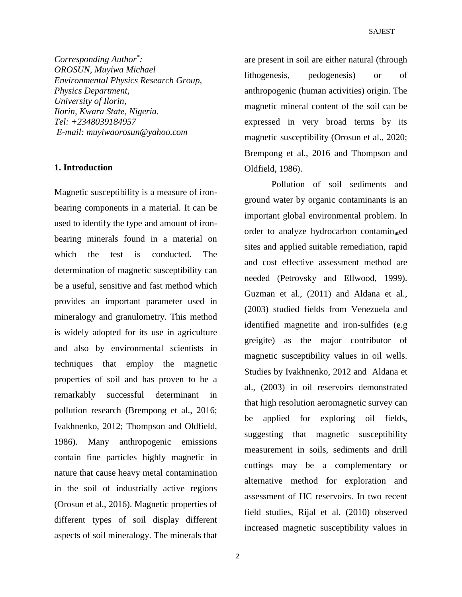*Corresponding Author\* : OROSUN, Muyiwa Michael Environmental Physics Research Group, Physics Department, University of Ilorin, Ilorin, Kwara State, Nigeria. Tel: +2348039184957 E-mail: [muyiwaorosun@yahoo.com](mailto:muyiwaorosun@yahoo.com)*

# **1. Introduction**

Magnetic susceptibility is a measure of ironbearing components in a material. It can be used to identify the type and amount of ironbearing minerals found in a material on which the test is conducted. The determination of magnetic susceptibility can be a useful, sensitive and fast method which provides an important parameter used in mineralogy and granulometry. This method is widely adopted for its use in agriculture and also by environmental scientists in techniques that employ the magnetic properties of soil and has proven to be a remarkably successful determinant in pollution research (Brempong et al., 2016; Ivakhnenko, 2012; Thompson and Oldfield, 1986). Many anthropogenic emissions contain fine particles highly magnetic in nature that cause heavy metal contamination in the soil of industrially active regions (Orosun et al., 2016). Magnetic properties of different types of soil display different aspects of soil mineralogy. The minerals that are present in soil are either natural (through lithogenesis, pedogenesis) or of anthropogenic (human activities) origin. The magnetic mineral content of the soil can be expressed in very broad terms by its magnetic susceptibility (Orosun et al., 2020; Brempong et al., 2016 and Thompson and Oldfield, 1986).

Pollution of soil sediments and ground water by organic contaminants is an important global environmental problem. In order to analyze hydrocarbon contaminated sites and applied suitable remediation, rapid and cost effective assessment method are needed (Petrovsky and Ellwood, 1999). Guzman et al., (2011) and Aldana et al., (2003) studied fields from Venezuela and identified magnetite and iron-sulfides (e.g greigite) as the major contributor of magnetic susceptibility values in oil wells. Studies by Ivakhnenko, 2012 and Aldana et al., (2003) in oil reservoirs demonstrated that high resolution aeromagnetic survey can be applied for exploring oil fields, suggesting that magnetic susceptibility measurement in soils, sediments and drill cuttings may be a complementary or alternative method for exploration and assessment of HC reservoirs. In two recent field studies, Rijal et al. (2010) observed increased magnetic susceptibility values in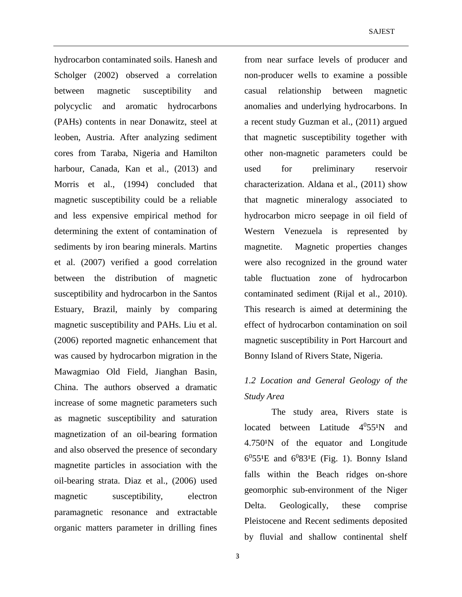hydrocarbon contaminated soils. Hanesh and Scholger (2002) observed a correlation between magnetic susceptibility and polycyclic and aromatic hydrocarbons (PAHs) contents in near Donawitz, steel at leoben, Austria. After analyzing sediment cores from Taraba, Nigeria and Hamilton harbour, Canada, Kan et al., (2013) and Morris et al., (1994) concluded that magnetic susceptibility could be a reliable and less expensive empirical method for determining the extent of contamination of sediments by iron bearing minerals. Martins et al. (2007) verified a good correlation between the distribution of magnetic susceptibility and hydrocarbon in the Santos Estuary, Brazil, mainly by comparing magnetic susceptibility and PAHs. Liu et al. (2006) reported magnetic enhancement that was caused by hydrocarbon migration in the Mawagmiao Old Field, Jianghan Basin, China. The authors observed a dramatic increase of some magnetic parameters such as magnetic susceptibility and saturation magnetization of an oil-bearing formation and also observed the presence of secondary magnetite particles in association with the oil-bearing strata. Diaz et al., (2006) used magnetic susceptibility, electron paramagnetic resonance and extractable organic matters parameter in drilling fines

from near surface levels of producer and non-producer wells to examine a possible casual relationship between magnetic anomalies and underlying hydrocarbons. In a recent study Guzman et al., (2011) argued that magnetic susceptibility together with other non-magnetic parameters could be used for preliminary reservoir characterization. Aldana et al., (2011) show that magnetic mineralogy associated to hydrocarbon micro seepage in oil field of Western Venezuela is represented by magnetite. Magnetic properties changes were also recognized in the ground water table fluctuation zone of hydrocarbon contaminated sediment (Rijal et al., 2010). This research is aimed at determining the effect of hydrocarbon contamination on soil magnetic susceptibility in Port Harcourt and Bonny Island of Rivers State, Nigeria.

# *1.2 Location and General Geology of the Study Area*

The study area, Rivers state is located between Latitude  $4^0$ 55<sup>1</sup>N and  $4.750<sup>1</sup>N$  of the equator and Longitude  $6^0$ 55<sup>1</sup>E and  $6^0$ 83<sup>1</sup>E (Fig. 1). Bonny Island falls within the Beach ridges on-shore geomorphic sub-environment of the Niger Delta. Geologically, these comprise Pleistocene and Recent sediments deposited by fluvial and shallow continental shelf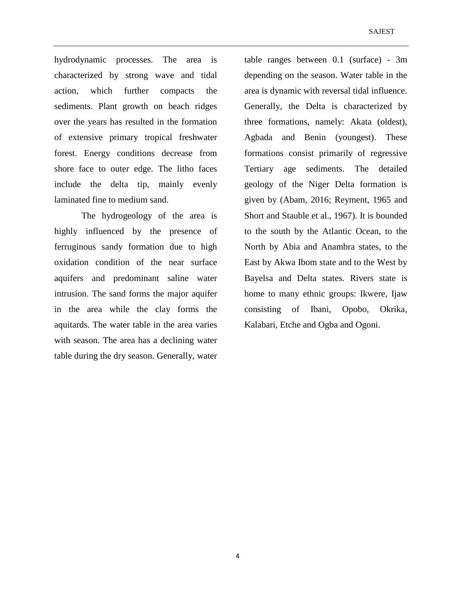hydrodynamic processes. The area is characterized by strong wave and tidal action, which further compacts the sediments. Plant growth on beach ridges over the years has resulted in the formation of extensive primary tropical freshwater forest. Energy conditions decrease from shore face to outer edge. The litho faces include the delta tip, mainly evenly laminated fine to medium sand.

The hydrogeology of the area is highly influenced by the presence of ferruginous sandy formation due to high oxidation condition of the near surface aquifers and predominant saline water intrusion. The sand forms the major aquifer in the area while the clay forms the aquitards. The water table in the area varies with season. The area has a declining water table during the dry season. Generally, water

table ranges between 0.1 (surface) - 3m depending on the season. Water table in the area is dynamic with reversal tidal influence. Generally, the Delta is characterized by three formations, namely: Akata (oldest), Agbada and Benin (youngest). These formations consist primarily of regressive Tertiary age sediments. The detailed geology of the Niger Delta formation is given by (Abam, 2016; Reyment, 1965 and Short and Stauble et al., 1967). It is bounded to the south by the Atlantic Ocean, to the North by Abia and Anambra states, to the East by Akwa Ibom state and to the West by Bayelsa and Delta states. Rivers state is home to many ethnic groups: Ikwere, Ijaw consisting of Ibani, Opobo, Okrika, Kalabari, Etche and Ogba and Ogoni.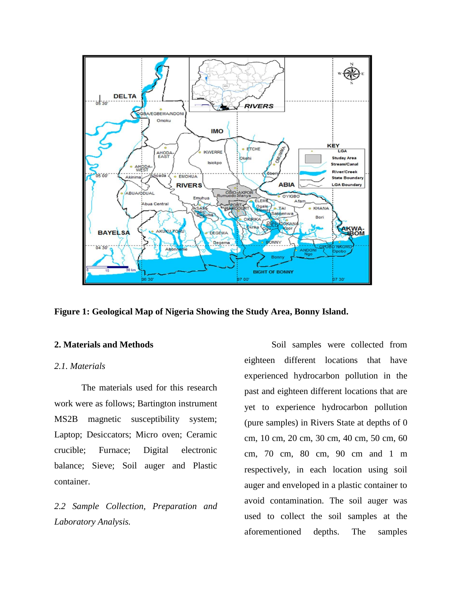

**Figure 1: Geological Map of Nigeria Showing the Study Area, Bonny Island.**

### **2. Materials and Methods**

# *2.1. Materials*

The materials used for this research work were as follows; Bartington instrument MS2B magnetic susceptibility system; Laptop; Desiccators; Micro oven; Ceramic crucible; Furnace; Digital electronic balance; Sieve; Soil auger and Plastic container.

*2.2 Sample Collection, Preparation and Laboratory Analysis.*

Soil samples were collected from eighteen different locations that have experienced hydrocarbon pollution in the past and eighteen different locations that are yet to experience hydrocarbon pollution (pure samples) in Rivers State at depths of 0 cm, 10 cm, 20 cm, 30 cm, 40 cm, 50 cm, 60 cm, 70 cm, 80 cm, 90 cm and 1 m respectively, in each location using soil auger and enveloped in a plastic container to avoid contamination. The soil auger was used to collect the soil samples at the aforementioned depths. The samples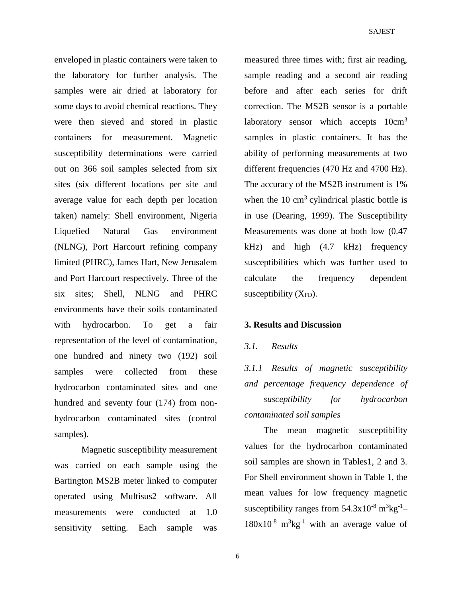enveloped in plastic containers were taken to the laboratory for further analysis. The samples were air dried at laboratory for some days to avoid chemical reactions. They were then sieved and stored in plastic containers for measurement. Magnetic susceptibility determinations were carried out on 366 soil samples selected from six sites (six different locations per site and average value for each depth per location taken) namely: Shell environment, Nigeria Liquefied Natural Gas environment (NLNG), Port Harcourt refining company limited (PHRC), James Hart, New Jerusalem and Port Harcourt respectively. Three of the six sites; Shell, NLNG and PHRC environments have their soils contaminated with hydrocarbon. To get a fair representation of the level of contamination, one hundred and ninety two (192) soil samples were collected from these hydrocarbon contaminated sites and one hundred and seventy four (174) from nonhydrocarbon contaminated sites (control samples).

Magnetic susceptibility measurement was carried on each sample using the Bartington MS2B meter linked to computer operated using Multisus2 software. All measurements were conducted at 1.0 sensitivity setting. Each sample was

measured three times with; first air reading, sample reading and a second air reading before and after each series for drift correction. The MS2B sensor is a portable laboratory sensor which accepts  $10 \text{cm}^3$ samples in plastic containers. It has the ability of performing measurements at two different frequencies (470 Hz and 4700 Hz). The accuracy of the MS2B instrument is 1% when the  $10 \text{ cm}^3$  cylindrical plastic bottle is in use (Dearing, 1999). The Susceptibility Measurements was done at both low (0.47 kHz) and high (4.7 kHz) frequency susceptibilities which was further used to calculate the frequency dependent susceptibility  $(X_{FD})$ .

#### **3. Results and Discussion**

#### *3.1. Results*

*3.1.1 Results of magnetic susceptibility and percentage frequency dependence of susceptibility for hydrocarbon contaminated soil samples*

The mean magnetic susceptibility values for the hydrocarbon contaminated soil samples are shown in Tables1, 2 and 3. For Shell environment shown in Table 1, the mean values for low frequency magnetic susceptibility ranges from  $54.3x10^{-8}$  m<sup>3</sup>kg<sup>-1</sup>  $180x10^{-8}$  m<sup>3</sup>kg<sup>-1</sup> with an average value of

6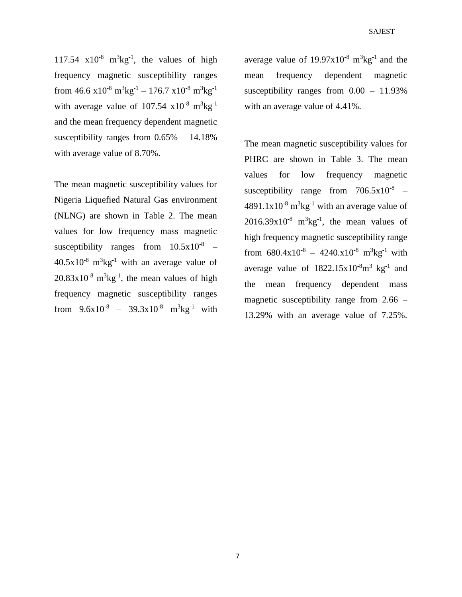117.54  $x10^{-8}$  m<sup>3</sup>kg<sup>-1</sup>, the values of high frequency magnetic susceptibility ranges from  $46.6 \times 10^{-8} \text{ m}^3 \text{kg}^{-1} - 176.7 \times 10^{-8} \text{ m}^3 \text{kg}^{-1}$ with average value of  $107.54 \times 10^{-8} \text{ m}^3 \text{kg}^{-1}$ and the mean frequency dependent magnetic susceptibility ranges from 0.65% – 14.18% with average value of 8.70%.

The mean magnetic susceptibility values for Nigeria Liquefied Natural Gas environment (NLNG) are shown in Table 2. The mean values for low frequency mass magnetic susceptibility ranges from  $10.5x10^{-8}$  –  $40.5 \times 10^{-8}$  m<sup>3</sup>kg<sup>-1</sup> with an average value of  $20.83 \times 10^{-8}$  m<sup>3</sup>kg<sup>-1</sup>, the mean values of high frequency magnetic susceptibility ranges from  $9.6x10^{-8} - 39.3x10^{-8}$  m<sup>3</sup>kg<sup>-1</sup> with

average value of  $19.97 \times 10^{-8}$  m<sup>3</sup>kg<sup>-1</sup> and the mean frequency dependent magnetic susceptibility ranges from 0.00 – 11.93% with an average value of 4.41%.

The mean magnetic susceptibility values for PHRC are shown in Table 3. The mean values for low frequency magnetic susceptibility range from  $706.5 \times 10^{-8}$  –  $4891.1x10^{-8}$  m<sup>3</sup>kg<sup>-1</sup> with an average value of  $2016.39x10^{-8}$  m<sup>3</sup>kg<sup>-1</sup>, the mean values of high frequency magnetic susceptibility range from  $680.4 \times 10^{-8} - 4240 \times 10^{-8}$  m<sup>3</sup>kg<sup>-1</sup> with average value of  $1822.15x10^{-8}m^3$  kg<sup>-1</sup> and the mean frequency dependent mass magnetic susceptibility range from  $2.66$  – 13.29% with an average value of 7.25%.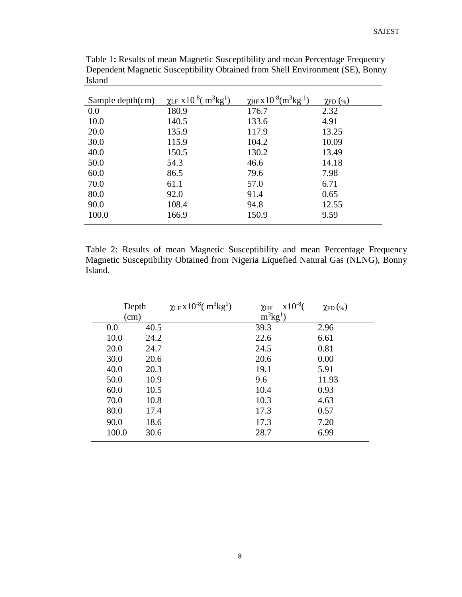| Sample depth $(cm)$ | $\chi$ LF X10 <sup>-8</sup> ( $m^3$ kg <sup>1</sup> ) | $\chi$ HF X $10^{-8}$ (m <sup>3</sup> kg <sup>-1</sup> ) | $\chi_{\text{FD}}$ (%) |
|---------------------|-------------------------------------------------------|----------------------------------------------------------|------------------------|
| 0.0                 | 180.9                                                 | 176.7                                                    | 2.32                   |
| 10.0                | 140.5                                                 | 133.6                                                    | 4.91                   |
| 20.0                | 135.9                                                 | 117.9                                                    | 13.25                  |
| 30.0                | 115.9                                                 | 104.2                                                    | 10.09                  |
| 40.0                | 150.5                                                 | 130.2                                                    | 13.49                  |
| 50.0                | 54.3                                                  | 46.6                                                     | 14.18                  |
| 60.0                | 86.5                                                  | 79.6                                                     | 7.98                   |
| 70.0                | 61.1                                                  | 57.0                                                     | 6.71                   |
| 80.0                | 92.0                                                  | 91.4                                                     | 0.65                   |
| 90.0                | 108.4                                                 | 94.8                                                     | 12.55                  |
| 100.0               | 166.9                                                 | 150.9                                                    | 9.59                   |

Table 1**:** Results of mean Magnetic Susceptibility and mean Percentage Frequency Dependent Magnetic Susceptibility Obtained from Shell Environment (SE), Bonny Island

Table 2: Results of mean Magnetic Susceptibility and mean Percentage Frequency Magnetic Susceptibility Obtained from Nigeria Liquefied Natural Gas (NLNG), Bonny Island.

| Depth |      | $\chi$ LF X10 <sup>-8</sup> (m <sup>3</sup> kg <sup>1</sup> ) | $x10^{-8}$<br>$\chi$ HF | $\chi_{\text{FD}}(\%)$ |
|-------|------|---------------------------------------------------------------|-------------------------|------------------------|
| (cm)  |      |                                                               | $m^3kg^1$               |                        |
| 0.0   | 40.5 |                                                               | 39.3                    | 2.96                   |
| 10.0  | 24.2 |                                                               | 22.6                    | 6.61                   |
| 20.0  | 24.7 |                                                               | 24.5                    | 0.81                   |
| 30.0  | 20.6 |                                                               | 20.6                    | 0.00                   |
| 40.0  | 20.3 |                                                               | 19.1                    | 5.91                   |
| 50.0  | 10.9 |                                                               | 9.6                     | 11.93                  |
| 60.0  | 10.5 |                                                               | 10.4                    | 0.93                   |
| 70.0  | 10.8 |                                                               | 10.3                    | 4.63                   |
| 80.0  | 17.4 |                                                               | 17.3                    | 0.57                   |
| 90.0  | 18.6 |                                                               | 17.3                    | 7.20                   |
| 100.0 | 30.6 |                                                               | 28.7                    | 6.99                   |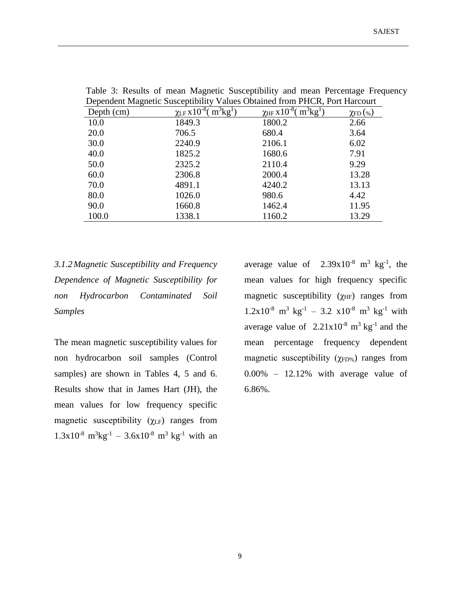| ັ          |                                                 | $\overline{\phantom{a}}$           |                        |
|------------|-------------------------------------------------|------------------------------------|------------------------|
| Depth (cm) | $\chi$ LF X $10^{-8}$ (<br>$\overline{m^3kg^1}$ | $\chi$ HF X $10^{-8}$<br>$m^3kg^1$ | $\chi_{\text{FD}}(\%)$ |
| 10.0       | 1849.3                                          | 1800.2                             | 2.66                   |
| 20.0       | 706.5                                           | 680.4                              | 3.64                   |
| 30.0       | 2240.9                                          | 2106.1                             | 6.02                   |
| 40.0       | 1825.2                                          | 1680.6                             | 7.91                   |
| 50.0       | 2325.2                                          | 2110.4                             | 9.29                   |
| 60.0       | 2306.8                                          | 2000.4                             | 13.28                  |
| 70.0       | 4891.1                                          | 4240.2                             | 13.13                  |
| 80.0       | 1026.0                                          | 980.6                              | 4.42                   |
| 90.0       | 1660.8                                          | 1462.4                             | 11.95                  |
| 100.0      | 1338.1                                          | 1160.2                             | 13.29                  |
|            |                                                 |                                    |                        |

Table 3: Results of mean Magnetic Susceptibility and mean Percentage Frequency Dependent Magnetic Susceptibility Values Obtained from PHCR, Port Harcourt

*3.1.2Magnetic Susceptibility and Frequency Dependence of Magnetic Susceptibility for non Hydrocarbon Contaminated Soil Samples*

The mean magnetic susceptibility values for non hydrocarbon soil samples (Control samples) are shown in Tables 4, 5 and 6. Results show that in James Hart (JH), the mean values for low frequency specific magnetic susceptibility  $(\gamma_{LF})$  ranges from  $1.3x10^{-8}$  m<sup>3</sup>kg<sup>-1</sup> - 3.6x10<sup>-8</sup> m<sup>3</sup> kg<sup>-1</sup> with an

average value of  $2.39x10^{-8}$  m<sup>3</sup> kg<sup>-1</sup>, the mean values for high frequency specific magnetic susceptibility  $(\gamma_{HF})$  ranges from  $1.2x10^{-8}$  m<sup>3</sup> kg<sup>-1</sup> - 3.2 x10<sup>-8</sup> m<sup>3</sup> kg<sup>-1</sup> with average value of  $2.21 \times 10^{-8}$  m<sup>3</sup> kg<sup>-1</sup> and the mean percentage frequency dependent magnetic susceptibility ( $\gamma_{FD\%}$ ) ranges from  $0.00\%$  – 12.12% with average value of 6.86%.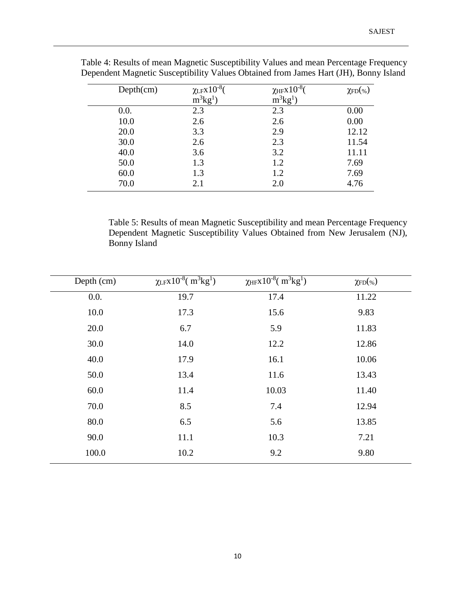| Depth(cm) | $\chi$ lfx $10^{-8}$ ( | $\chi$ HFX $10^{-8}$ ( | $\chi_{\text{FD}}(\% )$ |
|-----------|------------------------|------------------------|-------------------------|
|           | $m^3kg^1$              | $m^3kg^1$              |                         |
| 0.0.      | 2.3                    | 2.3                    | 0.00                    |
| 10.0      | 2.6                    | 2.6                    | 0.00                    |
| 20.0      | 3.3                    | 2.9                    | 12.12                   |
| 30.0      | 2.6                    | 2.3                    | 11.54                   |
| 40.0      | 3.6                    | 3.2                    | 11.11                   |
| 50.0      | 1.3                    | 1.2                    | 7.69                    |
| 60.0      | 1.3                    | 1.2                    | 7.69                    |
| 70.0      | 2.1                    | 2.0                    | 4.76                    |

Table 4: Results of mean Magnetic Susceptibility Values and mean Percentage Frequency Dependent Magnetic Susceptibility Values Obtained from James Hart (JH), Bonny Island

Table 5: Results of mean Magnetic Susceptibility and mean Percentage Frequency Dependent Magnetic Susceptibility Values Obtained from New Jerusalem (NJ), Bonny Island

| Depth (cm) | $\chi$ LFX10 <sup>-8</sup> (m <sup>3</sup> kg <sup>1</sup> ) | $\chi$ HFX10 <sup>-8</sup> (m <sup>3</sup> kg <sup>1</sup> ) | $\chi_{\text{FD}}(\% )$ |
|------------|--------------------------------------------------------------|--------------------------------------------------------------|-------------------------|
| 0.0.       | 19.7                                                         | 17.4                                                         | 11.22                   |
| 10.0       | 17.3                                                         | 15.6                                                         | 9.83                    |
| 20.0       | 6.7                                                          | 5.9                                                          | 11.83                   |
| 30.0       | 14.0                                                         | 12.2                                                         | 12.86                   |
| 40.0       | 17.9                                                         | 16.1                                                         | 10.06                   |
| 50.0       | 13.4                                                         | 11.6                                                         | 13.43                   |
| 60.0       | 11.4                                                         | 10.03                                                        | 11.40                   |
| 70.0       | 8.5                                                          | 7.4                                                          | 12.94                   |
| 80.0       | 6.5                                                          | 5.6                                                          | 13.85                   |
| 90.0       | 11.1                                                         | 10.3                                                         | 7.21                    |
| 100.0      | 10.2                                                         | 9.2                                                          | 9.80                    |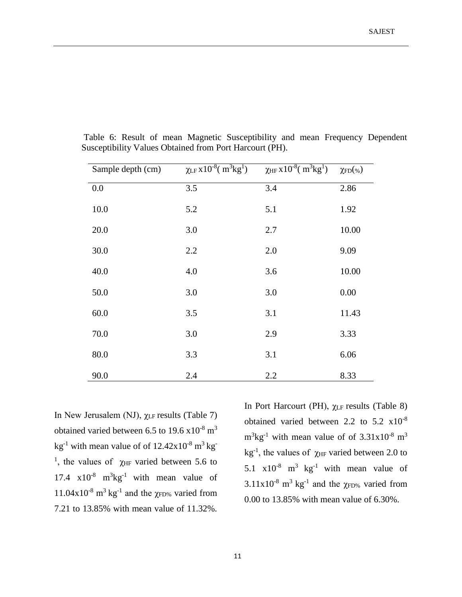| Sample depth (cm) | $\chi$ LF X10 <sup>-8</sup> (m <sup>3</sup> kg <sup>1</sup> ) | $\chi_{HF}$ x 10 <sup>-8</sup> ( $m^3$ kg <sup>1</sup> ) | $\chi_{\text{FD}}(\%)$ |
|-------------------|---------------------------------------------------------------|----------------------------------------------------------|------------------------|
| 0.0               | 3.5                                                           | 3.4                                                      | 2.86                   |
| 10.0              | 5.2                                                           | 5.1                                                      | 1.92                   |
| 20.0              | 3.0                                                           | 2.7                                                      | 10.00                  |
| 30.0              | 2.2                                                           | 2.0                                                      | 9.09                   |
| 40.0              | 4.0                                                           | 3.6                                                      | 10.00                  |
| 50.0              | 3.0                                                           | 3.0                                                      | 0.00                   |
| 60.0              | 3.5                                                           | 3.1                                                      | 11.43                  |
| 70.0              | 3.0                                                           | 2.9                                                      | 3.33                   |
| 80.0              | 3.3                                                           | 3.1                                                      | 6.06                   |
| 90.0              | 2.4                                                           | 2.2                                                      | 8.33                   |

Table 6: Result of mean Magnetic Susceptibility and mean Frequency Dependent Susceptibility Values Obtained from Port Harcourt (PH).

In New Jerusalem (NJ),  $χ$ <sub>LF</sub> results (Table 7) obtained varied between 6.5 to 19.6  $\times$  10<sup>-8</sup> m<sup>3</sup> kg<sup>-1</sup> with mean value of of  $12.42x10^{-8}$  m<sup>3</sup> kg<sup>-</sup> <sup>1</sup>, the values of  $\chi$ <sub>HF</sub> varied between 5.6 to 17.4  $\times 10^{-8}$  m<sup>3</sup>kg<sup>-1</sup> with mean value of 11.04x10<sup>-8</sup> m<sup>3</sup> kg<sup>-1</sup> and the  $\chi$ FD% varied from 7.21 to 13.85% with mean value of 11.32%.

In Port Harcourt (PH), χLF results (Table 8) obtained varied between 2.2 to 5.2 x10-8  $m<sup>3</sup>kg<sup>-1</sup>$  with mean value of of 3.31x10<sup>-8</sup> m<sup>3</sup> kg<sup>-1</sup>, the values of  $\chi$ <sub>HF</sub> varied between 2.0 to 5.1  $\times 10^{-8}$  m<sup>3</sup> kg<sup>-1</sup> with mean value of  $3.11 \times 10^{-8}$  m<sup>3</sup> kg<sup>-1</sup> and the  $\chi$ <sub>FD%</sub> varied from 0.00 to 13.85% with mean value of 6.30%.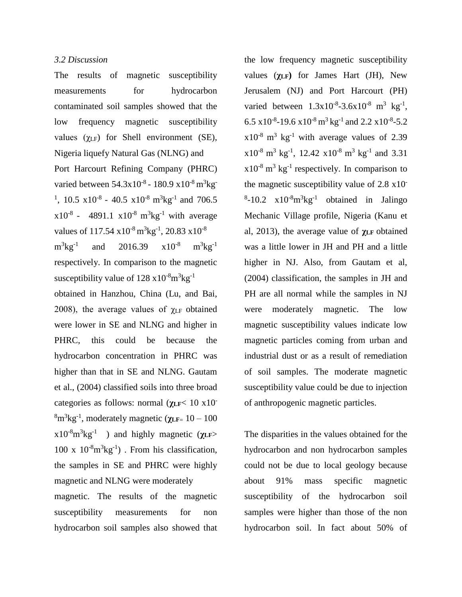### *3.2 Discussion*

The results of magnetic susceptibility measurements for hydrocarbon contaminated soil samples showed that the low frequency magnetic susceptibility values  $(\gamma_{LF})$  for Shell environment (SE), Nigeria liquefy Natural Gas (NLNG) and Port Harcourt Refining Company (PHRC) varied between 54.3x10<sup>-8</sup> - 180.9 x10<sup>-8</sup> m<sup>3</sup>kg<sup>-</sup> <sup>1</sup>, 10.5  $\times 10^{-8}$  - 40.5  $\times 10^{-8}$  m<sup>3</sup>kg<sup>-1</sup> and 706.5  $x10^{-8}$  - 4891.1  $x10^{-8}$  m<sup>3</sup>kg<sup>-1</sup> with average values of  $117.54 \times 10^{-8} \text{ m}^3 \text{kg}^{-1}$ , 20.83  $\times 10^{-8}$  $m^3$ kg<sup>-1</sup> and 2016.39  $x10^{-8}$  m<sup>3</sup>kg<sup>-1</sup> respectively. In comparison to the magnetic susceptibility value of  $128 \times 10^{-8}$ m $^{3}$ kg<sup>-1</sup>

obtained in Hanzhou, China (Lu, and Bai, 2008), the average values of  $\chi$ <sub>LF</sub> obtained were lower in SE and NLNG and higher in PHRC, this could be because the hydrocarbon concentration in PHRC was higher than that in SE and NLNG. Gautam et al., (2004) classified soils into three broad categories as follows: normal (**χLF**< 10 x10- <sup>8</sup>m<sup>3</sup> kg-1 , moderately magnetic (**χLF**<sup>=</sup> 10 – 100  $x10^{-8}$ m<sup>3</sup>kg<sup>-1</sup> ) and highly magnetic ( $\chi$ **LF**>  $100 \times 10^{-8} \text{m}^3 \text{kg}^{-1}$ . From his classification, the samples in SE and PHRC were highly magnetic and NLNG were moderately

magnetic. The results of the magnetic susceptibility measurements for non hydrocarbon soil samples also showed that

the low frequency magnetic susceptibility values (**χLF)** for James Hart (JH), New Jerusalem (NJ) and Port Harcourt (PH) varied between  $1.3 \times 10^{-8} - 3.6 \times 10^{-8}$  m<sup>3</sup> kg<sup>-1</sup>, 6.5 x 10<sup>-8</sup>-19.6 x 10<sup>-8</sup> m<sup>3</sup> kg<sup>-1</sup> and 2.2 x 10<sup>-8</sup>-5.2  $x10^{-8}$  m<sup>3</sup> kg<sup>-1</sup> with average values of 2.39  $x10^{-8}$  m<sup>3</sup> kg<sup>-1</sup>, 12.42  $x10^{-8}$  m<sup>3</sup> kg<sup>-1</sup> and 3.31  $x10^{-8}$  m<sup>3</sup> kg<sup>-1</sup> respectively. In comparison to the magnetic susceptibility value of 2.8 x10-  $8-10.2 \times 10^{-8} \text{m}^3 \text{kg}^{-1}$  obtained in Jalingo Mechanic Village profile, Nigeria (Kanu et al, 2013), the average value of **χLF** obtained was a little lower in JH and PH and a little higher in NJ. Also, from Gautam et al, (2004) classification, the samples in JH and PH are all normal while the samples in NJ were moderately magnetic. The low magnetic susceptibility values indicate low magnetic particles coming from urban and industrial dust or as a result of remediation of soil samples. The moderate magnetic susceptibility value could be due to injection of anthropogenic magnetic particles.

The disparities in the values obtained for the hydrocarbon and non hydrocarbon samples could not be due to local geology because about 91% mass specific magnetic susceptibility of the hydrocarbon soil samples were higher than those of the non hydrocarbon soil. In fact about 50% of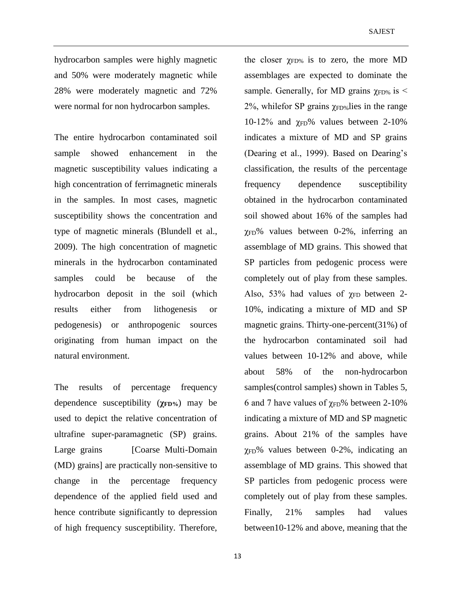hydrocarbon samples were highly magnetic and 50% were moderately magnetic while 28% were moderately magnetic and 72% were normal for non hydrocarbon samples.

The entire hydrocarbon contaminated soil sample showed enhancement in the magnetic susceptibility values indicating a high concentration of ferrimagnetic minerals in the samples. In most cases, magnetic susceptibility shows the concentration and type of magnetic minerals (Blundell et al., 2009). The high concentration of magnetic minerals in the hydrocarbon contaminated samples could be because of the hydrocarbon deposit in the soil (which results either from lithogenesis or pedogenesis) or anthropogenic sources originating from human impact on the natural environment.

The results of percentage frequency dependence susceptibility (**χFD%**) may be used to depict the relative concentration of ultrafine super-paramagnetic (SP) grains. Large grains [Coarse Multi-Domain] (MD) grains] are practically non-sensitive to change in the percentage frequency dependence of the applied field used and hence contribute significantly to depression of high frequency susceptibility. Therefore,

the closer  $\gamma_{\text{FD}\%}$  is to zero, the more MD assemblages are expected to dominate the sample. Generally, for MD grains  $\gamma$ <sub>FD%</sub> is < 2%, whilefor SP grains  $\gamma$ <sub>FD%</sub> lies in the range 10-12% and  $χ$ <sub>FD</sub>% values between 2-10% indicates a mixture of MD and SP grains (Dearing et al., 1999). Based on Dearing's classification, the results of the percentage frequency dependence susceptibility obtained in the hydrocarbon contaminated soil showed about 16% of the samples had  $\chi_{FD}$ % values between 0-2%, inferring an assemblage of MD grains. This showed that SP particles from pedogenic process were completely out of play from these samples. Also, 53% had values of  $\gamma$ <sub>FD</sub> between 2-10%, indicating a mixture of MD and SP magnetic grains. Thirty-one-percent(31%) of the hydrocarbon contaminated soil had values between 10-12% and above, while about 58% of the non-hydrocarbon samples(control samples) shown in Tables 5, 6 and 7 have values of  $\gamma$ <sub>FD</sub>% between 2-10% indicating a mixture of MD and SP magnetic grains. About 21% of the samples have  $\gamma_{FD}$ % values between 0-2%, indicating an assemblage of MD grains. This showed that SP particles from pedogenic process were completely out of play from these samples. Finally, 21% samples had values between10-12% and above, meaning that the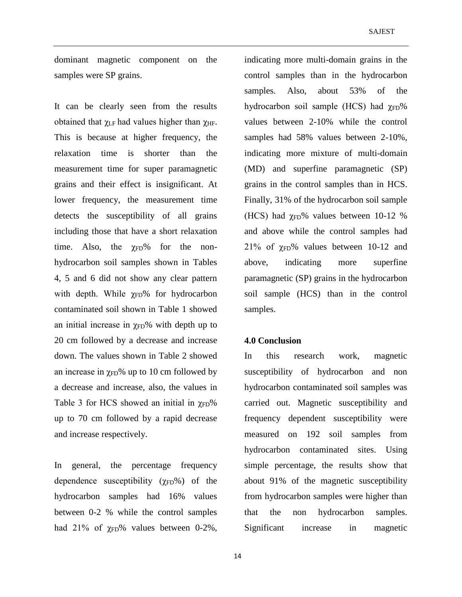dominant magnetic component on the samples were SP grains.

It can be clearly seen from the results obtained that  $\gamma_{LF}$  had values higher than  $\gamma_{HF}$ . This is because at higher frequency, the relaxation time is shorter than the measurement time for super paramagnetic grains and their effect is insignificant. At lower frequency, the measurement time detects the susceptibility of all grains including those that have a short relaxation time. Also, the  $\gamma$ <sub>FD</sub>% for the nonhydrocarbon soil samples shown in Tables 4, 5 and 6 did not show any clear pattern with depth. While  $\chi_{FD}$ % for hydrocarbon contaminated soil shown in Table 1 showed an initial increase in  $\chi_{FD}$ % with depth up to 20 cm followed by a decrease and increase down. The values shown in Table 2 showed an increase in  $\chi_{FD}$ % up to 10 cm followed by a decrease and increase, also, the values in Table 3 for HCS showed an initial in  $\gamma$ <sub>FD</sub>% up to 70 cm followed by a rapid decrease and increase respectively.

In general, the percentage frequency dependence susceptibility  $(\chi_{FD}\%)$  of the hydrocarbon samples had 16% values between 0-2 % while the control samples had 21% of  $\chi_{FD}$ % values between 0-2%, indicating more multi-domain grains in the control samples than in the hydrocarbon samples. Also, about 53% of the hydrocarbon soil sample (HCS) had  $χ$ <sub>FD</sub>% values between 2-10% while the control samples had 58% values between 2-10%, indicating more mixture of multi-domain (MD) and superfine paramagnetic (SP) grains in the control samples than in HCS. Finally, 31% of the hydrocarbon soil sample (HCS) had  $\gamma$ FD% values between 10-12 % and above while the control samples had 21% of  $\chi$ FD% values between 10-12 and above, indicating more superfine paramagnetic (SP) grains in the hydrocarbon soil sample (HCS) than in the control samples.

#### **4.0 Conclusion**

In this research work, magnetic susceptibility of hydrocarbon and non hydrocarbon contaminated soil samples was carried out. Magnetic susceptibility and frequency dependent susceptibility were measured on 192 soil samples from hydrocarbon contaminated sites. Using simple percentage, the results show that about 91% of the magnetic susceptibility from hydrocarbon samples were higher than that the non hydrocarbon samples. Significant increase in magnetic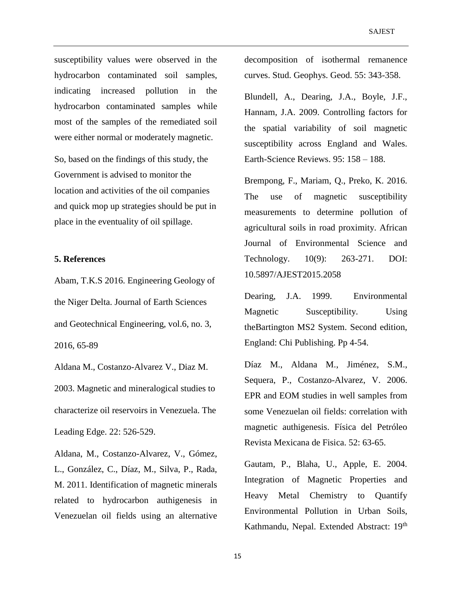susceptibility values were observed in the hydrocarbon contaminated soil samples, indicating increased pollution in the hydrocarbon contaminated samples while most of the samples of the remediated soil were either normal or moderately magnetic.

So, based on the findings of this study, the Government is advised to monitor the location and activities of the oil companies and quick mop up strategies should be put in place in the eventuality of oil spillage.

#### **5. References**

Abam, T.K.S 2016. Engineering Geology of the Niger Delta. Journal of Earth Sciences and Geotechnical Engineering, vol.6, no. 3, 2016, 65-89

Aldana M., Costanzo-Alvarez V., Diaz M. 2003. Magnetic and mineralogical studies to characterize oil reservoirs in Venezuela. The Leading Edge. 22: 526-529.

Aldana, M., Costanzo-Alvarez, V., Gómez, L., González, C., Díaz, M., Silva, P., Rada, M. 2011. Identification of magnetic minerals related to hydrocarbon authigenesis in Venezuelan oil fields using an alternative decomposition of isothermal remanence curves. Stud. Geophys. Geod. 55: 343-358.

Blundell, A., Dearing, J.A., Boyle, J.F., Hannam, J.A. 2009. Controlling factors for the spatial variability of soil magnetic susceptibility across England and Wales. Earth-Science Reviews. 95: 158 – 188.

Brempong, F., Mariam, Q., Preko, K. 2016. The use of magnetic susceptibility measurements to determine pollution of agricultural soils in road proximity. African Journal of Environmental Science and Technology. 10(9): 263-271. DOI: 10.5897/AJEST2015.2058

Dearing, J.A. 1999. Environmental Magnetic Susceptibility. Using theBartington MS2 System. Second edition, England: Chi Publishing. Pp 4-54.

Díaz M., Aldana M., Jiménez, S.M., Sequera, P., Costanzo-Alvarez, V. 2006. EPR and EOM studies in well samples from some Venezuelan oil fields: correlation with magnetic authigenesis. Física del Petróleo Revista Mexicana de Fisica. 52: 63-65.

Gautam, P., Blaha, U., Apple, E. 2004. Integration of Magnetic Properties and Heavy Metal Chemistry to Quantify Environmental Pollution in Urban Soils, Kathmandu, Nepal. Extended Abstract: 19<sup>th</sup>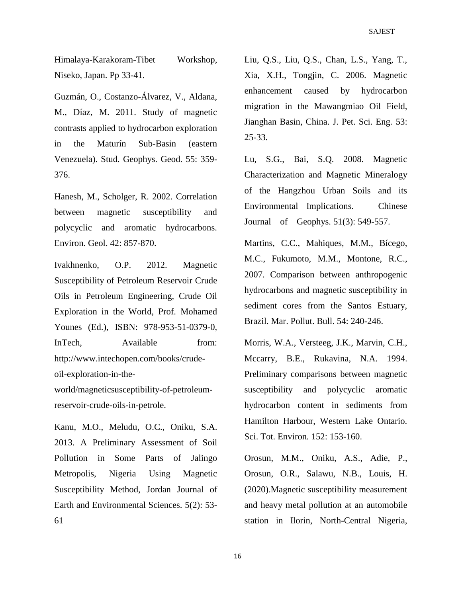Himalaya-Karakoram-Tibet Workshop, Niseko, Japan. Pp 33-41.

Guzmán, O., Costanzo-Álvarez, V., Aldana, M., Díaz, M. 2011. Study of magnetic contrasts applied to hydrocarbon exploration in the Maturín Sub-Basin (eastern Venezuela). Stud. Geophys. Geod. 55: 359- 376.

Hanesh, M., Scholger, R. 2002. Correlation between magnetic susceptibility and polycyclic and aromatic hydrocarbons. Environ. Geol. 42: 857-870.

Ivakhnenko, O.P. 2012. Magnetic Susceptibility of Petroleum Reservoir Crude Oils in Petroleum Engineering, Crude Oil Exploration in the World, Prof. Mohamed Younes (Ed.), ISBN: 978-953-51-0379-0, InTech, Available from: http://www.intechopen.com/books/crudeoil-exploration-in-the-

world/magneticsusceptibility-of-petroleumreservoir-crude-oils-in-petrole.

Kanu, M.O., Meludu, O.C., Oniku, S.A. 2013. A Preliminary Assessment of Soil Pollution in Some Parts of Jalingo Metropolis, Nigeria Using Magnetic Susceptibility Method, Jordan Journal of Earth and Environmental Sciences. 5(2): 53- 61

Liu, Q.S., Liu, Q.S., Chan, L.S., Yang, T., Xia, X.H., Tongjin, C. 2006. Magnetic enhancement caused by hydrocarbon migration in the Mawangmiao Oil Field, Jianghan Basin, China. J. Pet. Sci. Eng*.* 53: 25-33.

Lu, S.G., Bai, S.Q. 2008. Magnetic Characterization and Magnetic Mineralogy of the Hangzhou Urban Soils and its Environmental Implications. Chinese Journal of Geophys. 51(3): 549-557.

Martins, C.C., Mahiques, M.M., Bícego, M.C., Fukumoto, M.M., Montone, R.C., 2007. Comparison between anthropogenic hydrocarbons and magnetic susceptibility in sediment cores from the Santos Estuary, Brazil. Mar. Pollut. Bull. 54: 240-246.

Morris, W.A., Versteeg, J.K., Marvin, C.H., Mccarry, B.E., Rukavina, N.A. 1994. Preliminary comparisons between magnetic susceptibility and polycyclic aromatic hydrocarbon content in sediments from Hamilton Harbour, Western Lake Ontario. Sci. Tot. Environ*.* 152: 153-160.

Orosun, M.M., Oniku, A.S., Adie, P., Orosun, O.R., Salawu, N.B., Louis, H. (2020).Magnetic susceptibility measurement and heavy metal pollution at an automobile station in Ilorin, North-Central Nigeria,